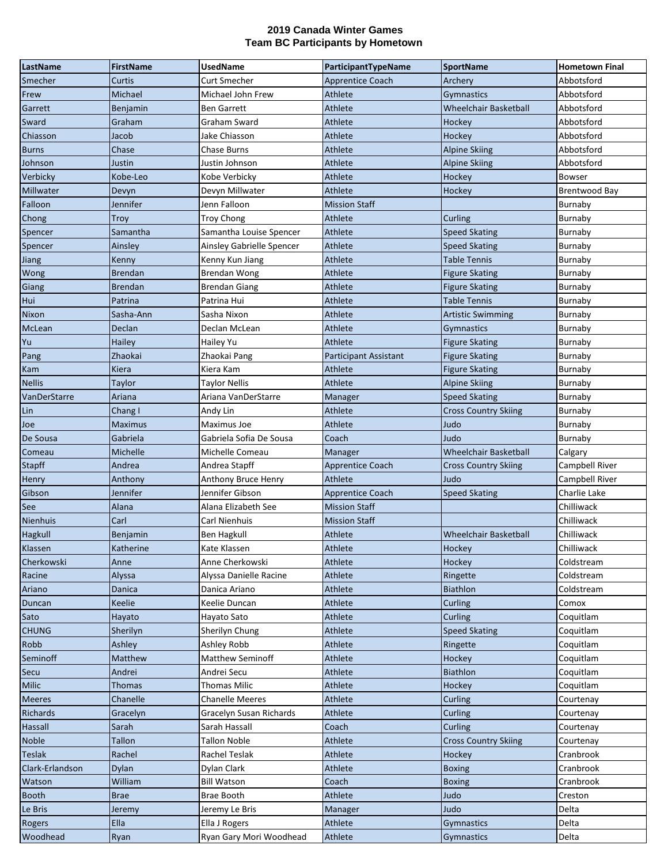| LastName        | <b>FirstName</b> | <b>UsedName</b>           | ParticipantTypeName          | <b>SportName</b>             | <b>Hometown Final</b> |
|-----------------|------------------|---------------------------|------------------------------|------------------------------|-----------------------|
| Smecher         | Curtis           | <b>Curt Smecher</b>       | <b>Apprentice Coach</b>      | Archery                      | Abbotsford            |
| Frew            | Michael          | Michael John Frew         | Athlete                      | Gymnastics                   | Abbotsford            |
| Garrett         | Benjamin         | Ben Garrett               | Athlete                      | <b>Wheelchair Basketball</b> | Abbotsford            |
| Sward           | Graham           | Graham Sward              | Athlete                      | Hockey                       | Abbotsford            |
| Chiasson        | Jacob            | Jake Chiasson             | Athlete                      | Hockey                       | Abbotsford            |
| <b>Burns</b>    | Chase            | <b>Chase Burns</b>        | Athlete                      | <b>Alpine Skiing</b>         | Abbotsford            |
| Johnson         | Justin           | Justin Johnson            | Athlete                      | <b>Alpine Skiing</b>         | Abbotsford            |
| Verbicky        | Kobe-Leo         | Kobe Verbicky             | Athlete                      | Hockey                       | <b>Bowser</b>         |
| Millwater       | Devyn            | Devyn Millwater           | Athlete                      | Hockey                       | Brentwood Bay         |
| Falloon         | Jennifer         | Jenn Falloon              | <b>Mission Staff</b>         |                              | Burnaby               |
| Chong           | <b>Troy</b>      | <b>Troy Chong</b>         | Athlete                      | Curling                      | <b>Burnaby</b>        |
| Spencer         | Samantha         | Samantha Louise Spencer   | Athlete                      | <b>Speed Skating</b>         | Burnaby               |
| Spencer         | Ainsley          | Ainsley Gabrielle Spencer | Athlete                      | Speed Skating                | Burnaby               |
| <b>Jiang</b>    | Kenny            | Kenny Kun Jiang           | Athlete                      | Table Tennis                 | Burnaby               |
| Wong            | <b>Brendan</b>   | Brendan Wong              | Athlete                      | <b>Figure Skating</b>        | Burnaby               |
| Giang           | <b>Brendan</b>   | <b>Brendan Giang</b>      | Athlete                      | <b>Figure Skating</b>        | Burnaby               |
| Hui             | Patrina          | Patrina Hui               | Athlete                      | <b>Table Tennis</b>          | Burnaby               |
| Nixon           | Sasha-Ann        | Sasha Nixon               | Athlete                      | <b>Artistic Swimming</b>     | Burnaby               |
| McLean          | Declan           | Declan McLean             | Athlete                      | <b>Gymnastics</b>            | Burnaby               |
| Yu              | Hailey           | Hailey Yu                 | Athlete                      | <b>Figure Skating</b>        | Burnaby               |
| Pang            | Zhaokai          | Zhaokai Pang              | <b>Participant Assistant</b> | <b>Figure Skating</b>        | Burnaby               |
| Kam             | Kiera            | Kiera Kam                 | Athlete                      | <b>Figure Skating</b>        | Burnaby               |
| <b>Nellis</b>   | Taylor           | Taylor Nellis             | Athlete                      | <b>Alpine Skiing</b>         | Burnaby               |
| VanDerStarre    | Ariana           | Ariana VanDerStarre       | Manager                      | Speed Skating                | Burnaby               |
| Lin             | Chang I          | Andy Lin                  | Athlete                      | <b>Cross Country Skiing</b>  | Burnaby               |
| Joe             | <b>Maximus</b>   | Maximus Joe               | Athlete                      | Judo                         | Burnaby               |
| De Sousa        | Gabriela         | Gabriela Sofia De Sousa   | Coach                        | Judo                         | Burnaby               |
| Comeau          | Michelle         | Michelle Comeau           | Manager                      | <b>Wheelchair Basketball</b> | Calgary               |
| <b>Stapff</b>   | Andrea           | Andrea Stapff             | <b>Apprentice Coach</b>      | <b>Cross Country Skiing</b>  | Campbell River        |
| Henry           | Anthony          | Anthony Bruce Henry       | Athlete                      | Judo                         | Campbell River        |
| Gibson          | Jennifer         | Jennifer Gibson           | <b>Apprentice Coach</b>      | <b>Speed Skating</b>         | Charlie Lake          |
| <b>See</b>      | Alana            | Alana Elizabeth See       | <b>Mission Staff</b>         |                              | Chilliwack            |
| Nienhuis        | Carl             | Carl Nienhuis             | <b>Mission Staff</b>         |                              | Chilliwack            |
| Hagkull         | Benjamin         | Ben Hagkull               | Athlete                      | Wheelchair Basketball        | Chilliwack            |
| Klassen         | Katherine        | Kate Klassen              | Athlete                      | Hockey                       | Chilliwack            |
| Cherkowski      | Anne             | Anne Cherkowski           | Athlete                      | Hockey                       | Coldstream            |
| Racine          | Alyssa           | Alyssa Danielle Racine    | Athlete                      | Ringette                     | Coldstream            |
| Ariano          | Danica           | Danica Ariano             | Athlete                      | <b>Biathlon</b>              | Coldstream            |
| Duncan          | Keelie           | Keelie Duncan             | Athlete                      | Curling                      | Comox                 |
| Sato            | Hayato           | Hayato Sato               | Athlete                      | Curling                      | Coquitlam             |
| <b>CHUNG</b>    | Sherilyn         | Sherilyn Chung            | Athlete                      | <b>Speed Skating</b>         | Coquitlam             |
| Robb            | Ashley           | Ashley Robb               | Athlete                      | Ringette                     | Coquitlam             |
| Seminoff        | Matthew          | <b>Matthew Seminoff</b>   | Athlete                      | Hockey                       | Coquitlam             |
| Secu            | Andrei           | Andrei Secu               | Athlete                      | Biathlon                     | Coquitlam             |
| <b>Milic</b>    | <b>Thomas</b>    | <b>Thomas Milic</b>       | Athlete                      | Hockey                       | Coquitlam             |
| <b>Meeres</b>   | Chanelle         | <b>Chanelle Meeres</b>    | Athlete                      | Curling                      | Courtenay             |
| Richards        | Gracelyn         | Gracelyn Susan Richards   | Athlete                      | Curling                      | Courtenay             |
| Hassall         | Sarah            | Sarah Hassall             | Coach                        | Curling                      | Courtenay             |
| <b>Noble</b>    | <b>Tallon</b>    | <b>Tallon Noble</b>       | Athlete                      | <b>Cross Country Skiing</b>  | Courtenay             |
| <b>Teslak</b>   | Rachel           | Rachel Teslak             | Athlete                      | Hockey                       | Cranbrook             |
| Clark-Erlandson | Dylan            | Dylan Clark               | Athlete                      | <b>Boxing</b>                | Cranbrook             |
| Watson          | William          | <b>Bill Watson</b>        | Coach                        | <b>Boxing</b>                | Cranbrook             |
| Booth           | <b>Brae</b>      | Brae Booth                | Athlete                      | Judo                         | Creston               |
| Le Bris         | Jeremy           | Jeremy Le Bris            | Manager                      | Judo                         | Delta                 |
| Rogers          | Ella             | Ella J Rogers             | Athlete                      | Gymnastics                   | Delta                 |
| Woodhead        | Ryan             | Ryan Gary Mori Woodhead   | Athlete                      | Gymnastics                   | Delta                 |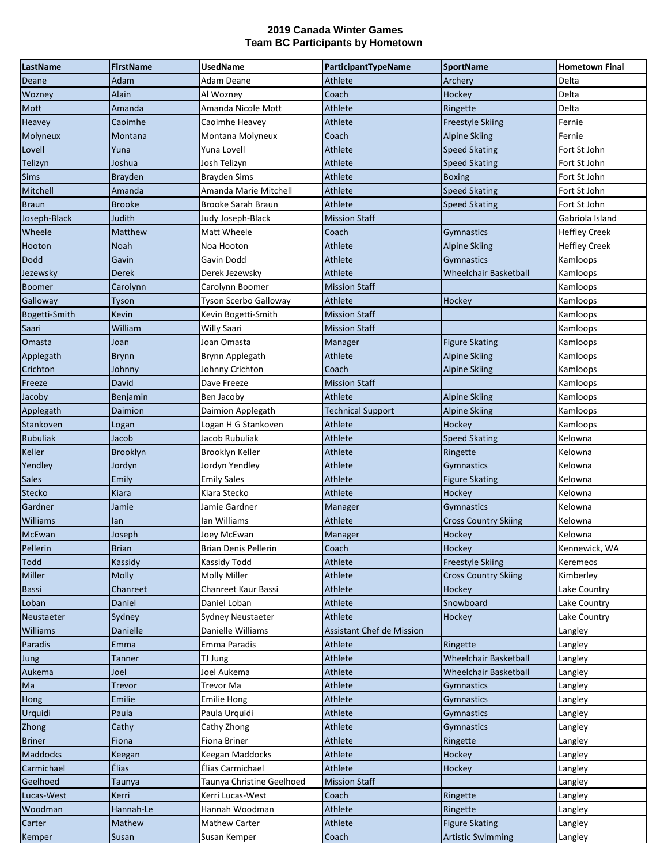| LastName        | <b>FirstName</b> | <b>UsedName</b>           | ParticipantTypeName              | <b>SportName</b>             | <b>Hometown Final</b> |
|-----------------|------------------|---------------------------|----------------------------------|------------------------------|-----------------------|
| Deane           | Adam             | Adam Deane                | Athlete                          | Archery                      | Delta                 |
| Wozney          | Alain            | Al Wozney                 | Coach                            | Hockey                       | Delta                 |
| Mott            | Amanda           | Amanda Nicole Mott        | Athlete                          | Ringette                     | Delta                 |
| Heavey          | Caoimhe          | Caoimhe Heavey            | Athlete                          | <b>Freestyle Skiing</b>      | Fernie                |
| Molyneux        | Montana          | Montana Molyneux          | Coach                            | <b>Alpine Skiing</b>         | Fernie                |
| Lovell          | Yuna             | Yuna Lovell               | Athlete                          | <b>Speed Skating</b>         | Fort St John          |
| Telizyn         | Joshua           | Josh Telizyn              | Athlete                          | <b>Speed Skating</b>         | Fort St John          |
| <b>Sims</b>     | <b>Brayden</b>   | <b>Brayden Sims</b>       | Athlete                          | <b>Boxing</b>                | Fort St John          |
| Mitchell        | Amanda           | Amanda Marie Mitchell     | Athlete                          | <b>Speed Skating</b>         | Fort St John          |
| <b>Braun</b>    | <b>Brooke</b>    | <b>Brooke Sarah Braun</b> | Athlete                          | <b>Speed Skating</b>         | Fort St John          |
| Joseph-Black    | Judith           | Judy Joseph-Black         | <b>Mission Staff</b>             |                              | Gabriola Island       |
| Wheele          | Matthew          | Matt Wheele               | Coach                            | <b>Gymnastics</b>            | <b>Heffley Creek</b>  |
| Hooton          | Noah             | Noa Hooton                | Athlete                          | <b>Alpine Skiing</b>         | <b>Heffley Creek</b>  |
| Dodd            | Gavin            | Gavin Dodd                | Athlete                          | <b>Gymnastics</b>            | Kamloops              |
| Jezewsky        | Derek            | Derek Jezewsky            | Athlete                          | <b>Wheelchair Basketball</b> | Kamloops              |
| <b>Boomer</b>   | Carolynn         | Carolynn Boomer           | <b>Mission Staff</b>             |                              | Kamloops              |
| Galloway        | Tyson            | Tyson Scerbo Galloway     | Athlete                          | Hockey                       | Kamloops              |
| Bogetti-Smith   | Kevin            | Kevin Bogetti-Smith       | <b>Mission Staff</b>             |                              | Kamloops              |
| Saari           | William          | <b>Willy Saari</b>        | <b>Mission Staff</b>             |                              | Kamloops              |
| Omasta          | Joan             | Joan Omasta               | Manager                          | <b>Figure Skating</b>        | Kamloops              |
| Applegath       | <b>Brynn</b>     | Brynn Applegath           | Athlete                          | <b>Alpine Skiing</b>         | Kamloops              |
| Crichton        | Johnny           | Johnny Crichton           | Coach                            | <b>Alpine Skiing</b>         | Kamloops              |
| Freeze          | David            | Dave Freeze               | <b>Mission Staff</b>             |                              | Kamloops              |
| Jacoby          | Benjamin         | Ben Jacoby                | Athlete                          | <b>Alpine Skiing</b>         | Kamloops              |
| Applegath       | Daimion          | Daimion Applegath         | <b>Technical Support</b>         | <b>Alpine Skiing</b>         | Kamloops              |
| Stankoven       | Logan            | Logan H G Stankoven       | Athlete                          | Hockey                       | Kamloops              |
| Rubuliak        | Jacob            | Jacob Rubuliak            | Athlete                          | <b>Speed Skating</b>         | Kelowna               |
| Keller          | <b>Brooklyn</b>  | Brooklyn Keller           | Athlete                          | Ringette                     | Kelowna               |
| Yendley         | Jordyn           | Jordyn Yendley            | Athlete                          | Gymnastics                   | Kelowna               |
| <b>Sales</b>    | Emily            | <b>Emily Sales</b>        | Athlete                          | <b>Figure Skating</b>        | Kelowna               |
| <b>Stecko</b>   | <b>Kiara</b>     | Kiara Stecko              | Athlete                          | Hockey                       | Kelowna               |
| Gardner         | Jamie            | Jamie Gardner             | Manager                          | Gymnastics                   | Kelowna               |
| <b>Williams</b> | lan              | lan Williams              | Athlete                          | <b>Cross Country Skiing</b>  | Kelowna               |
| McEwan          | Joseph           | Joey McEwan               | Manager                          | Hockey                       | Kelowna               |
| Pellerin        | <b>Brian</b>     | Brian Denis Pellerin      | Coach                            | <b>Hockey</b>                | Kennewick, WA         |
| Todd            | Kassidy          | Kassidy Todd              | Athlete                          | <b>Freestyle Skiing</b>      | Keremeos              |
| Miller          | <b>Molly</b>     | Molly Miller              | Athlete                          | <b>Cross Country Skiing</b>  | Kimberley             |
| <b>Bassi</b>    | Chanreet         | Chanreet Kaur Bassi       | Athlete                          | Hockey                       | Lake Country          |
| Loban           | Daniel           | Daniel Loban              | Athlete                          | Snowboard                    | Lake Country          |
| Neustaeter      | Sydney           | Sydney Neustaeter         | Athlete                          | Hockey                       | Lake Country          |
| <b>Williams</b> | Danielle         | Danielle Williams         | <b>Assistant Chef de Mission</b> |                              | Langley               |
| Paradis         | Emma             | Emma Paradis              | Athlete                          | Ringette                     | Langley               |
| Jung            | Tanner           | TJ Jung                   | Athlete                          | <b>Wheelchair Basketball</b> | Langley               |
| Aukema          | Joel             | Joel Aukema               | Athlete                          | Wheelchair Basketball        | Langley               |
| Ma              | <b>Trevor</b>    | <b>Trevor Ma</b>          | Athlete                          | <b>Gymnastics</b>            | Langley               |
| Hong            | Emilie           | <b>Emilie Hong</b>        | Athlete                          | Gymnastics                   | Langley               |
| Urquidi         | Paula            | Paula Urquidi             | Athlete                          | Gymnastics                   | Langley               |
| Zhong           | Cathy            | Cathy Zhong               | Athlete                          | Gymnastics                   | Langley               |
| <b>Briner</b>   | Fiona            | Fiona Briner              | Athlete                          | Ringette                     | Langley               |
| Maddocks        | Keegan           | Keegan Maddocks           | Athlete                          | Hockey                       | Langley               |
| Carmichael      | <b>Élias</b>     | Élias Carmichael          | Athlete                          | Hockey                       | Langley               |
| Geelhoed        | Taunya           | Taunya Christine Geelhoed | <b>Mission Staff</b>             |                              | Langley               |
| Lucas-West      | Kerri            | Kerri Lucas-West          | Coach                            | Ringette                     | Langley               |
| Woodman         | Hannah-Le        | Hannah Woodman            | Athlete                          | Ringette                     | Langley               |
| Carter          | Mathew           | <b>Mathew Carter</b>      | Athlete                          | <b>Figure Skating</b>        | Langley               |
| Kemper          | Susan            | Susan Kemper              | Coach                            | <b>Artistic Swimming</b>     | Langley               |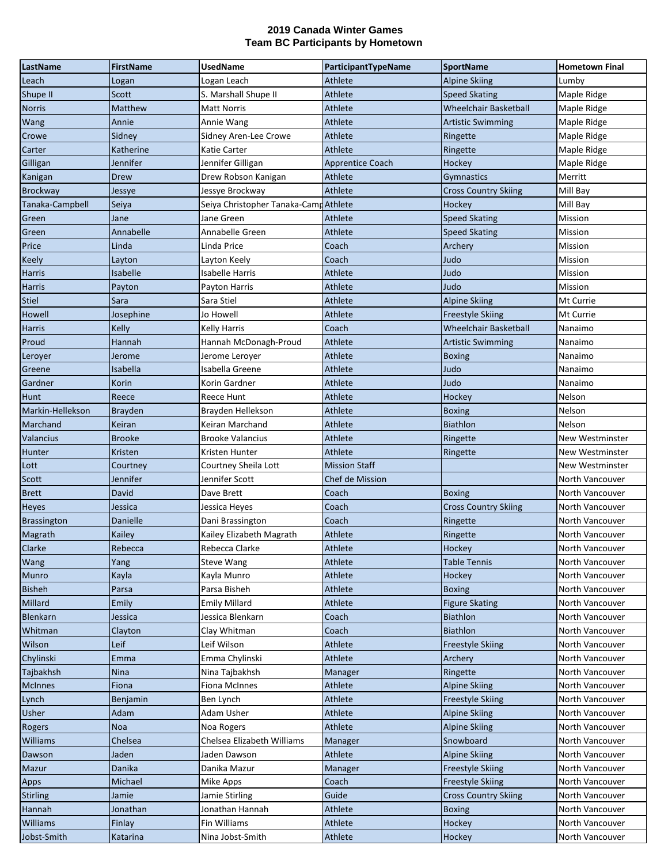| LastName         | <b>FirstName</b> | <b>UsedName</b>                       | ParticipantTypeName     | <b>SportName</b>             | <b>Hometown Final</b> |
|------------------|------------------|---------------------------------------|-------------------------|------------------------------|-----------------------|
| Leach            | Logan            | Logan Leach                           | Athlete                 | <b>Alpine Skiing</b>         | Lumby                 |
| Shupe II         | Scott            | S. Marshall Shupe II                  | Athlete                 | <b>Speed Skating</b>         | Maple Ridge           |
| <b>Norris</b>    | Matthew          | <b>Matt Norris</b>                    | Athlete                 | Wheelchair Basketball        | Maple Ridge           |
| Wang             | Annie            | Annie Wang                            | Athlete                 | <b>Artistic Swimming</b>     | Maple Ridge           |
| Crowe            | Sidney           | Sidney Aren-Lee Crowe                 | Athlete                 | Ringette                     | Maple Ridge           |
| Carter           | Katherine        | Katie Carter                          | Athlete                 | Ringette                     | Maple Ridge           |
| Gilligan         | Jennifer         | Jennifer Gilligan                     | <b>Apprentice Coach</b> | Hockey                       | Maple Ridge           |
| Kanigan          | Drew             | Drew Robson Kanigan                   | Athlete                 | <b>Gymnastics</b>            | Merritt               |
| <b>Brockway</b>  | Jessye           | Jessye Brockway                       | Athlete                 | <b>Cross Country Skiing</b>  | Mill Bay              |
| Tanaka-Campbell  | Seiya            | Seiya Christopher Tanaka-Camp Athlete |                         | Hockey                       | Mill Bay              |
| Green            | Jane             | Jane Green                            | Athlete                 | <b>Speed Skating</b>         | Mission               |
| Green            | Annabelle        | Annabelle Green                       | Athlete                 | <b>Speed Skating</b>         | Mission               |
| Price            | Linda            | Linda Price                           | Coach                   | Archery                      | Mission               |
| Keely            | Layton           | Layton Keely                          | Coach                   | Judo                         | Mission               |
| <b>Harris</b>    | Isabelle         | <b>Isabelle Harris</b>                | Athlete                 | Judo                         | Mission               |
| <b>Harris</b>    | Payton           | Payton Harris                         | Athlete                 | Judo                         | Mission               |
| <b>Stiel</b>     | Sara             | Sara Stiel                            | Athlete                 | <b>Alpine Skiing</b>         | Mt Currie             |
| Howell           | Josephine        | Jo Howell                             | Athlete                 | <b>Freestyle Skiing</b>      | Mt Currie             |
| Harris           | Kelly            | Kelly Harris                          | Coach                   | <b>Wheelchair Basketball</b> | Nanaimo               |
| Proud            | Hannah           | Hannah McDonagh-Proud                 | Athlete                 | <b>Artistic Swimming</b>     | Nanaimo               |
| Leroyer          | Jerome           | Jerome Leroyer                        | Athlete                 | <b>Boxing</b>                | Nanaimo               |
| Greene           | Isabella         | Isabella Greene                       | Athlete                 | Judo                         | Nanaimo               |
| Gardner          | Korin            | Korin Gardner                         | Athlete                 | Judo                         | Nanaimo               |
| Hunt             | Reece            | Reece Hunt                            | Athlete                 | Hockey                       | Nelson                |
| Markin-Hellekson | <b>Brayden</b>   | Brayden Hellekson                     | Athlete                 | <b>Boxing</b>                | Nelson                |
| Marchand         | Keiran           | Keiran Marchand                       | Athlete                 | Biathlon                     | Nelson                |
| Valancius        | <b>Brooke</b>    | <b>Brooke Valancius</b>               | Athlete                 | Ringette                     | New Westminster       |
| <b>Hunter</b>    | Kristen          | Kristen Hunter                        | Athlete                 | Ringette                     | New Westminster       |
| Lott             | Courtney         | Courtney Sheila Lott                  | <b>Mission Staff</b>    |                              | New Westminster       |
| <b>Scott</b>     | Jennifer         | Jennifer Scott                        | Chef de Mission         |                              | North Vancouver       |
| <b>Brett</b>     | David            | Dave Brett                            | Coach                   | <b>Boxing</b>                | North Vancouver       |
| <b>Heyes</b>     | Jessica          | Jessica Heyes                         | Coach                   | <b>Cross Country Skiing</b>  | North Vancouver       |
| Brassington      | Danielle         | Dani Brassington                      | Coach                   | Ringette                     | North Vancouver       |
| Magrath          | Kailey           | Kailey Elizabeth Magrath              | Athlete                 | Ringette                     | North Vancouver       |
| Clarke           | Rebecca          | Rebecca Clarke                        | Athlete                 | Hockey                       | North Vancouver       |
| Wang             | Yang             | <b>Steve Wang</b>                     | Athlete                 | Table Tennis                 | North Vancouver       |
| <b>Munro</b>     | Kayla            | Kayla Munro                           | Athlete                 | Hockey                       | North Vancouver       |
| <b>Bisheh</b>    | Parsa            | Parsa Bisheh                          | Athlete                 | <b>Boxing</b>                | North Vancouver       |
| Millard          | Emily            | <b>Emily Millard</b>                  | Athlete                 | <b>Figure Skating</b>        | North Vancouver       |
| Blenkarn         | Jessica          | Jessica Blenkarn                      | Coach                   | Biathlon                     | North Vancouver       |
| Whitman          | Clayton          | Clay Whitman                          | Coach                   | Biathlon                     | North Vancouver       |
| Wilson           | Leif             | Leif Wilson                           | Athlete                 | <b>Freestyle Skiing</b>      | North Vancouver       |
| Chylinski        | <b>Emma</b>      | Emma Chylinski                        | Athlete                 | Archery                      | North Vancouver       |
| Tajbakhsh        | <b>Nina</b>      | Nina Tajbakhsh                        | Manager                 | Ringette                     | North Vancouver       |
| <b>McInnes</b>   | Fiona            | <b>Fiona McInnes</b>                  | Athlete                 | <b>Alpine Skiing</b>         | North Vancouver       |
| Lynch            | Benjamin         | Ben Lynch                             | Athlete                 | <b>Freestyle Skiing</b>      | North Vancouver       |
| <b>Usher</b>     | Adam             | Adam Usher                            | Athlete                 | <b>Alpine Skiing</b>         | North Vancouver       |
| Rogers           | <b>Noa</b>       | Noa Rogers                            | Athlete                 | <b>Alpine Skiing</b>         | North Vancouver       |
| <b>Williams</b>  | Chelsea          | Chelsea Elizabeth Williams            | Manager                 | Snowboard                    | North Vancouver       |
| Dawson           | Jaden            | Jaden Dawson                          | Athlete                 | <b>Alpine Skiing</b>         | North Vancouver       |
| Mazur            | Danika           | Danika Mazur                          | Manager                 | <b>Freestyle Skiing</b>      | North Vancouver       |
| <b>Apps</b>      | Michael          | Mike Apps                             | Coach                   | <b>Freestyle Skiing</b>      | North Vancouver       |
| <b>Stirling</b>  | Jamie            | Jamie Stirling                        | Guide                   | <b>Cross Country Skiing</b>  | North Vancouver       |
| Hannah           | Jonathan         | Jonathan Hannah                       | Athlete                 | <b>Boxing</b>                | North Vancouver       |
| <b>Williams</b>  | Finlay           | Fin Williams                          | Athlete                 | Hockey                       | North Vancouver       |
| Jobst-Smith      | Katarina         | Nina Jobst-Smith                      | Athlete                 | Hockey                       | North Vancouver       |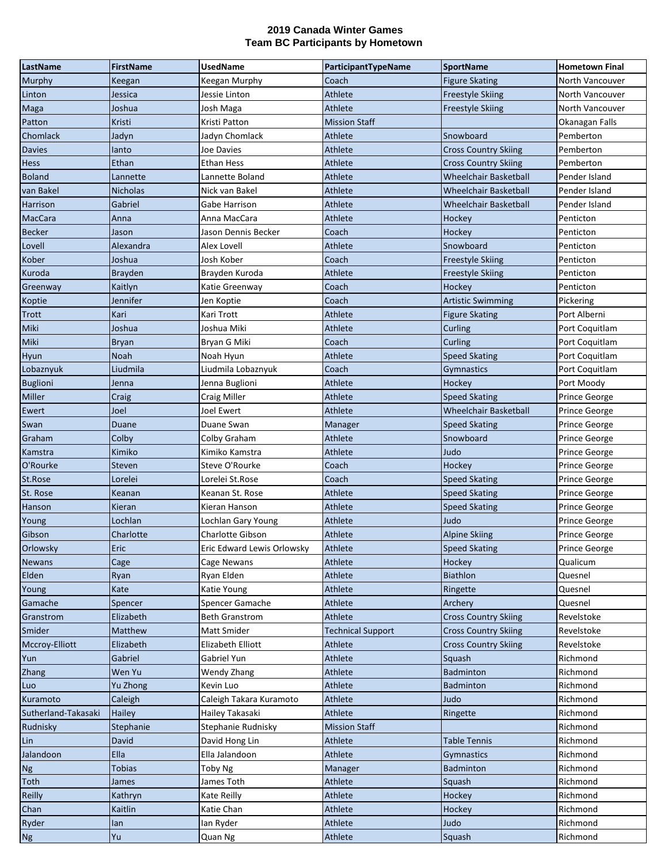| LastName            | <b>FirstName</b> | <b>UsedName</b>            | ParticipantTypeName      | <b>SportName</b>             | <b>Hometown Final</b> |
|---------------------|------------------|----------------------------|--------------------------|------------------------------|-----------------------|
| Murphy              | Keegan           | Keegan Murphy              | Coach                    | <b>Figure Skating</b>        | North Vancouver       |
| Linton              | Jessica          | Jessie Linton              | Athlete                  | <b>Freestyle Skiing</b>      | North Vancouver       |
| Maga                | Joshua           | Josh Maga                  | Athlete                  | <b>Freestyle Skiing</b>      | North Vancouver       |
| Patton              | Kristi           | Kristi Patton              | <b>Mission Staff</b>     |                              | Okanagan Falls        |
| Chomlack            | Jadyn            | Jadyn Chomlack             | Athlete                  | Snowboard                    | Pemberton             |
| <b>Davies</b>       | lanto            | Joe Davies                 | Athlete                  | <b>Cross Country Skiing</b>  | Pemberton             |
| Hess                | Ethan            | Ethan Hess                 | Athlete                  | <b>Cross Country Skiing</b>  | Pemberton             |
| <b>Boland</b>       | Lannette         | Lannette Boland            | Athlete                  | Wheelchair Basketball        | Pender Island         |
| van Bakel           | <b>Nicholas</b>  | Nick van Bakel             | Athlete                  | <b>Wheelchair Basketball</b> | Pender Island         |
| Harrison            | Gabriel          | Gabe Harrison              | Athlete                  | <b>Wheelchair Basketball</b> | Pender Island         |
| <b>MacCara</b>      | Anna             | Anna MacCara               | Athlete                  | Hockey                       | Penticton             |
| <b>Becker</b>       | Jason            | Jason Dennis Becker        | Coach                    | Hockey                       | Penticton             |
| Lovell              | Alexandra        | Alex Lovell                | Athlete                  | Snowboard                    | Penticton             |
| Kober               | Joshua           | Josh Kober                 | Coach                    | <b>Freestyle Skiing</b>      | Penticton             |
| Kuroda              | Brayden          | Brayden Kuroda             | Athlete                  | <b>Freestyle Skiing</b>      | Penticton             |
| Greenway            | Kaitlyn          | Katie Greenway             | Coach                    | Hockey                       | Penticton             |
| Koptie              | Jennifer         | Jen Koptie                 | Coach                    | <b>Artistic Swimming</b>     | Pickering             |
| <b>Trott</b>        | Kari             | Kari Trott                 | Athlete                  | <b>Figure Skating</b>        | Port Alberni          |
| Miki                | Joshua           | Joshua Miki                | Athlete                  | <b>Curling</b>               | Port Coquitlam        |
| Miki                | <b>Bryan</b>     | Bryan G Miki               | Coach                    | Curling                      | Port Coquitlam        |
| Hyun                | Noah             | Noah Hyun                  | Athlete                  | <b>Speed Skating</b>         | Port Coquitlam        |
| Lobaznyuk           | Liudmila         | Liudmila Lobaznyuk         | Coach                    | Gymnastics                   | Port Coquitlam        |
| <b>Buglioni</b>     | Jenna            | Jenna Buglioni             | Athlete                  | Hockey                       | Port Moody            |
| Miller              | Craig            | Craig Miller               | Athlete                  | <b>Speed Skating</b>         | Prince George         |
| Ewert               | Joel             | Joel Ewert                 | Athlete                  | <b>Wheelchair Basketball</b> | Prince George         |
| Swan                | Duane            | Duane Swan                 | Manager                  | <b>Speed Skating</b>         | Prince George         |
| Graham              | Colby            | Colby Graham               | Athlete                  | Snowboard                    | Prince George         |
| Kamstra             | Kimiko           | Kimiko Kamstra             | Athlete                  | Judo                         | Prince George         |
| O'Rourke            | Steven           | Steve O'Rourke             | Coach                    | Hockey                       | Prince George         |
| St.Rose             | Lorelei          | Lorelei St.Rose            | Coach                    | <b>Speed Skating</b>         | Prince George         |
| St. Rose            | Keanan           | Keanan St. Rose            | Athlete                  | <b>Speed Skating</b>         | Prince George         |
| Hanson              | Kieran           | Kieran Hanson              | Athlete                  | <b>Speed Skating</b>         | Prince George         |
| Young               | Lochlan          | Lochlan Gary Young         | Athlete                  | Judo                         | Prince George         |
| Gibson              | Charlotte        | <b>Charlotte Gibson</b>    | Athlete                  | <b>Alpine Skiing</b>         | <b>Prince George</b>  |
| Orlowsky            | Eric             | Eric Edward Lewis Orlowsky | Athlete                  | <b>Speed Skating</b>         | Prince George         |
| <b>Newans</b>       | Cage             | Cage Newans                | Athlete                  | Hockey                       | Qualicum              |
| Elden               | Ryan             | Ryan Elden                 | Athlete                  | Biathlon                     | Quesnel               |
| Young               | Kate             | Katie Young                | Athlete                  | Ringette                     | Quesnel               |
| Gamache             | Spencer          | Spencer Gamache            | Athlete                  | Archery                      | Quesnel               |
| Granstrom           | Elizabeth        | Beth Granstrom             | Athlete                  | <b>Cross Country Skiing</b>  | Revelstoke            |
| Smider              | Matthew          | Matt Smider                | <b>Technical Support</b> | <b>Cross Country Skiing</b>  | Revelstoke            |
| Mccroy-Elliott      | Elizabeth        | Elizabeth Elliott          | Athlete                  | <b>Cross Country Skiing</b>  | Revelstoke            |
| Yun                 | Gabriel          | Gabriel Yun                | Athlete                  | Squash                       | Richmond              |
| Zhang               | Wen Yu           | Wendy Zhang                | Athlete                  | Badminton                    | Richmond              |
| Luo                 | Yu Zhong         | Kevin Luo                  | Athlete                  | Badminton                    | Richmond              |
| Kuramoto            | Caleigh          | Caleigh Takara Kuramoto    | Athlete                  | Judo                         | Richmond              |
| Sutherland-Takasaki | Hailey           | Hailey Takasaki            | Athlete                  | Ringette                     | Richmond              |
| Rudnisky            | Stephanie        | Stephanie Rudnisky         | <b>Mission Staff</b>     |                              | Richmond              |
| Lin                 | David            | David Hong Lin             | Athlete                  | <b>Table Tennis</b>          | Richmond              |
| Jalandoon           | Ella             | Ella Jalandoon             | Athlete                  | Gymnastics                   | Richmond              |
| <b>Ng</b>           | <b>Tobias</b>    | Toby Ng                    | Manager                  | Badminton                    | Richmond              |
| Toth                | James            | James Toth                 | Athlete                  | Squash                       | Richmond              |
| <b>Reilly</b>       | Kathryn          | Kate Reilly                | Athlete                  | Hockey                       | Richmond              |
| Chan                | Kaitlin          | Katie Chan                 | Athlete                  | Hockey                       | Richmond              |
| Ryder               | lan              | Ian Ryder                  | Athlete                  | Judo                         | Richmond              |
| <b>Ng</b>           | Yu               | Quan Ng                    | Athlete                  | Squash                       | Richmond              |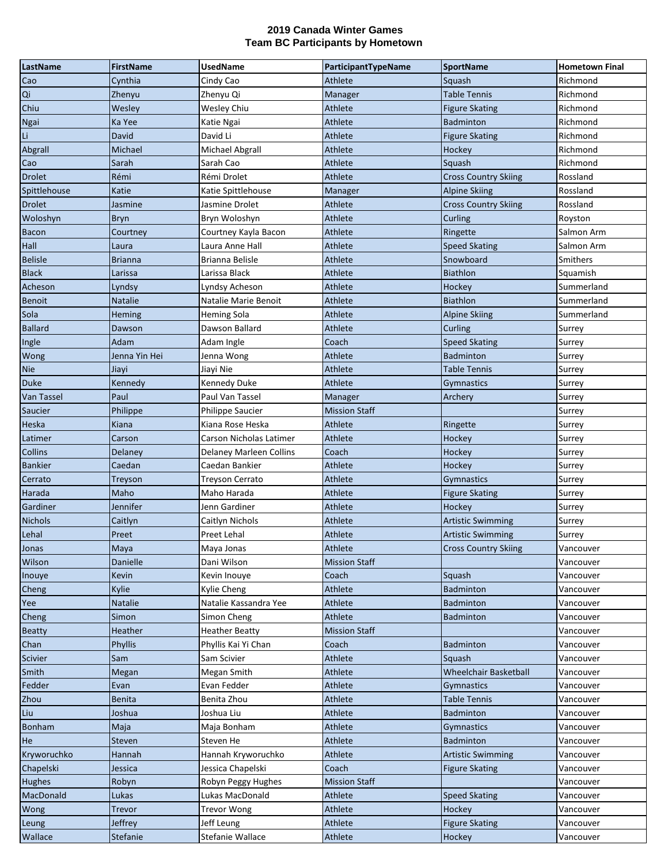| LastName          | <b>FirstName</b> | <b>UsedName</b>         | ParticipantTypeName  | <b>SportName</b>            | <b>Hometown Final</b> |
|-------------------|------------------|-------------------------|----------------------|-----------------------------|-----------------------|
| Cao               | Cynthia          | Cindy Cao               | Athlete              | Squash                      | Richmond              |
| Qi                | Zhenyu           | Zhenyu Qi               | Manager              | <b>Table Tennis</b>         | Richmond              |
| Chiu              | Wesley           | Wesley Chiu             | Athlete              | <b>Figure Skating</b>       | Richmond              |
| Ngai              | Ka Yee           | Katie Ngai              | Athlete              | <b>Badminton</b>            | Richmond              |
| Li                | David            | David Li                | Athlete              | <b>Figure Skating</b>       | Richmond              |
| Abgrall           | Michael          | Michael Abgrall         | Athlete              | Hockey                      | Richmond              |
| Cao               | Sarah            | Sarah Cao               | Athlete              | Squash                      | Richmond              |
| <b>Drolet</b>     | Rémi             | Rémi Drolet             | Athlete              | <b>Cross Country Skiing</b> | Rossland              |
| Spittlehouse      | Katie            | Katie Spittlehouse      | Manager              | <b>Alpine Skiing</b>        | Rossland              |
| <b>Drolet</b>     | Jasmine          | Jasmine Drolet          | Athlete              | <b>Cross Country Skiing</b> | Rossland              |
| Woloshyn          | <b>Bryn</b>      | Bryn Woloshyn           | Athlete              | Curling                     | Royston               |
| <b>Bacon</b>      | Courtney         | Courtney Kayla Bacon    | Athlete              | Ringette                    | Salmon Arm            |
| Hall              | Laura            | Laura Anne Hall         | Athlete              | <b>Speed Skating</b>        | Salmon Arm            |
| <b>Belisle</b>    | Brianna          | Brianna Belisle         | Athlete              | Snowboard                   | Smithers              |
| <b>Black</b>      | Larissa          | Larissa Black           | Athlete              | <b>Biathlon</b>             | Squamish              |
| Acheson           | Lyndsy           | Lyndsy Acheson          | Athlete              | Hockey                      | Summerland            |
| Benoit            | <b>Natalie</b>   | Natalie Marie Benoit    | Athlete              | Biathlon                    | Summerland            |
| Sola              | Heming           | <b>Heming Sola</b>      | Athlete              | <b>Alpine Skiing</b>        | Summerland            |
| <b>Ballard</b>    | Dawson           | Dawson Ballard          | Athlete              | Curling                     | Surrey                |
| Ingle             | Adam             | Adam Ingle              | Coach                | <b>Speed Skating</b>        | Surrey                |
| Wong              | Jenna Yin Hei    | Jenna Wong              | Athlete              | Badminton                   | Surrey                |
| Nie               | Jiayi            | Jiayi Nie               | Athlete              | Table Tennis                | Surrey                |
| <b>Duke</b>       | Kennedy          | Kennedy Duke            | Athlete              | Gymnastics                  | Surrey                |
| <b>Van Tassel</b> | Paul             | Paul Van Tassel         | Manager              | Archery                     | Surrey                |
| Saucier           | Philippe         | Philippe Saucier        | <b>Mission Staff</b> |                             | Surrey                |
| Heska             | Kiana            | Kiana Rose Heska        | Athlete              | Ringette                    | Surrey                |
| Latimer           | Carson           | Carson Nicholas Latimer | Athlete              | Hockey                      | Surrey                |
| <b>Collins</b>    | Delaney          | Delaney Marleen Collins | Coach                | Hockey                      | Surrey                |
| <b>Bankier</b>    | Caedan           | Caedan Bankier          | Athlete              | Hockey                      | Surrey                |
| Cerrato           | Treyson          | <b>Treyson Cerrato</b>  | Athlete              | Gymnastics                  | Surrey                |
| Harada            | Maho             | Maho Harada             | Athlete              | <b>Figure Skating</b>       | Surrey                |
| Gardiner          | Jennifer         | Jenn Gardiner           | Athlete              | Hockey                      | Surrey                |
| <b>Nichols</b>    | Caitlyn          | Caitlyn Nichols         | Athlete              | Artistic Swimming           | Surrey                |
| Lehal             | Preet            | Preet Lehal             | Athlete              | <b>Artistic Swimming</b>    | Surrey                |
| Jonas             | <b>Mava</b>      | Maya Jonas              | <b>Athlete</b>       | <b>Cross Country Skiing</b> | Vancouver             |
| Wilson            | <b>Danielle</b>  | Dani Wilson             | <b>Mission Staff</b> |                             | Vancouver             |
| Inouye            | Kevin            | Kevin Inouye            | Coach                | Squash                      | Vancouver             |
| Cheng             | Kylie            | Kylie Cheng             | Athlete              | Badminton                   | Vancouver             |
| Yee               | <b>Natalie</b>   | Natalie Kassandra Yee   | Athlete              | Badminton                   | Vancouver             |
| Cheng             | Simon            | Simon Cheng             | Athlete              | Badminton                   | Vancouver             |
| <b>Beatty</b>     | Heather          | <b>Heather Beatty</b>   | <b>Mission Staff</b> |                             | Vancouver             |
| Chan              | Phyllis          | Phyllis Kai Yi Chan     | Coach                | Badminton                   | Vancouver             |
| Scivier           | Sam              | Sam Scivier             | Athlete              | Squash                      | Vancouver             |
| Smith             | Megan            | Megan Smith             | Athlete              | Wheelchair Basketball       | Vancouver             |
| Fedder            | Evan             | Evan Fedder             | Athlete              | Gymnastics                  | Vancouver             |
| <b>Zhou</b>       | <b>Benita</b>    | Benita Zhou             | Athlete              | <b>Table Tennis</b>         | Vancouver             |
| Liu               | Joshua           | Joshua Liu              | Athlete              | Badminton                   | Vancouver             |
| Bonham            | Maja             | Maja Bonham             | Athlete              | <b>Gymnastics</b>           | Vancouver             |
| He                | Steven           | Steven He               | Athlete              | Badminton                   | Vancouver             |
| Kryworuchko       | Hannah           | Hannah Kryworuchko      | Athlete              | <b>Artistic Swimming</b>    | Vancouver             |
| Chapelski         | Jessica          | Jessica Chapelski       | Coach                | Figure Skating              | Vancouver             |
| <b>Hughes</b>     | Robyn            | Robyn Peggy Hughes      | <b>Mission Staff</b> |                             | Vancouver             |
| MacDonald         | Lukas            | Lukas MacDonald         | Athlete              | Speed Skating               | Vancouver             |
| Wong              | Trevor           | <b>Trevor Wong</b>      | Athlete              | Hockey                      | Vancouver             |
| Leung             | <b>Jeffrey</b>   | Jeff Leung              | Athlete              | <b>Figure Skating</b>       | Vancouver             |
| Wallace           | Stefanie         | Stefanie Wallace        | Athlete              | Hockey                      | Vancouver             |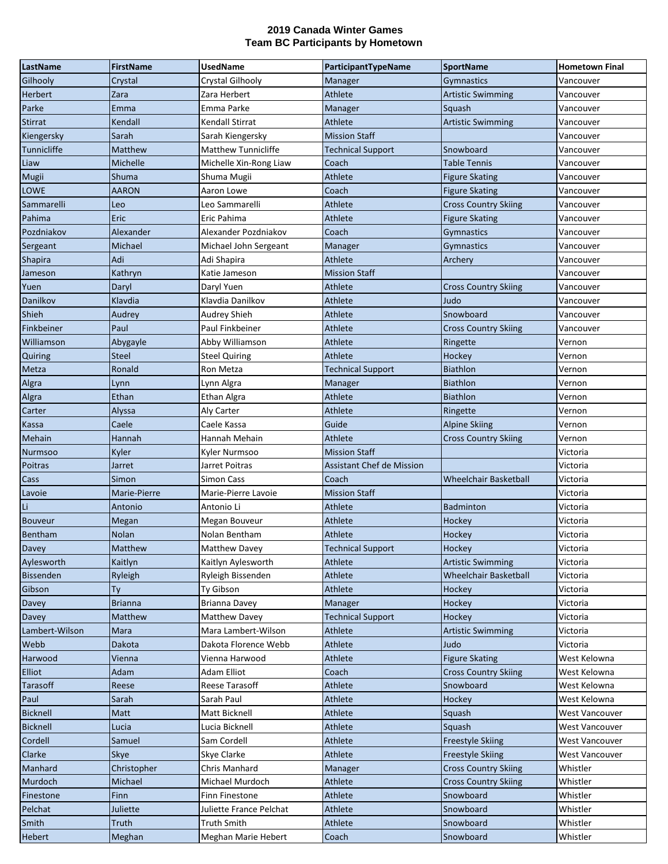| LastName         | <b>FirstName</b> | <b>UsedName</b>            | ParticipantTypeName       | <b>SportName</b>             | <b>Hometown Final</b> |
|------------------|------------------|----------------------------|---------------------------|------------------------------|-----------------------|
| Gilhooly         | Crystal          | Crystal Gilhooly           | Manager                   | Gymnastics                   | Vancouver             |
| Herbert          | Zara             | Zara Herbert               | Athlete                   | <b>Artistic Swimming</b>     | Vancouver             |
| Parke            | Emma             | Emma Parke                 | Manager                   | Squash                       | Vancouver             |
| <b>Stirrat</b>   | Kendall          | Kendall Stirrat            | Athlete                   | <b>Artistic Swimming</b>     | Vancouver             |
| Kiengersky       | Sarah            | Sarah Kiengersky           | <b>Mission Staff</b>      |                              | Vancouver             |
| Tunnicliffe      | Matthew          | <b>Matthew Tunnicliffe</b> | <b>Technical Support</b>  | Snowboard                    | Vancouver             |
| Liaw             | Michelle         | Michelle Xin-Rong Liaw     | Coach                     | Table Tennis                 | Vancouver             |
| Mugii            | Shuma            | Shuma Mugii                | Athlete                   | <b>Figure Skating</b>        | Vancouver             |
| LOWE             | <b>AARON</b>     | Aaron Lowe                 | Coach                     | <b>Figure Skating</b>        | Vancouver             |
| Sammarelli       | Leo              | Leo Sammarelli             | Athlete                   | <b>Cross Country Skiing</b>  | Vancouver             |
| Pahima           | Eric             | Eric Pahima                | Athlete                   | <b>Figure Skating</b>        | Vancouver             |
| Pozdniakov       | Alexander        | Alexander Pozdniakov       | Coach                     | <b>Gymnastics</b>            | Vancouver             |
| Sergeant         | Michael          | Michael John Sergeant      | Manager                   | Gymnastics                   | Vancouver             |
| <b>Shapira</b>   | Adi              | Adi Shapira                | Athlete                   | Archery                      | Vancouver             |
| Jameson          | Kathryn          | Katie Jameson              | <b>Mission Staff</b>      |                              | Vancouver             |
| Yuen             | Daryl            | Daryl Yuen                 | Athlete                   | <b>Cross Country Skiing</b>  | Vancouver             |
| Danilkov         | Klavdia          | Klavdia Danilkov           | Athlete                   | Judo                         | Vancouver             |
| Shieh            | Audrey           | Audrey Shieh               | Athlete                   | Snowboard                    | Vancouver             |
| Finkbeiner       | Paul             | Paul Finkbeiner            | Athlete                   | <b>Cross Country Skiing</b>  | Vancouver             |
| Williamson       | Abygayle         | Abby Williamson            | Athlete                   | Ringette                     | Vernon                |
| Quiring          | <b>Steel</b>     | <b>Steel Quiring</b>       | Athlete                   | Hockey                       | Vernon                |
| Metza            | Ronald           | Ron Metza                  | <b>Technical Support</b>  | <b>Biathlon</b>              | Vernon                |
| Algra            | Lynn             | Lynn Algra                 | Manager                   | <b>Biathlon</b>              | Vernon                |
| Algra            | Ethan            | Ethan Algra                | Athlete                   | <b>Biathlon</b>              | Vernon                |
| Carter           | Alyssa           | Aly Carter                 | Athlete                   | Ringette                     | Vernon                |
| Kassa            | Caele            | Caele Kassa                | Guide                     | <b>Alpine Skiing</b>         | Vernon                |
| Mehain           | <b>Hannah</b>    | Hannah Mehain              | Athlete                   | <b>Cross Country Skiing</b>  | Vernon                |
| Nurmsoo          | Kyler            | Kyler Nurmsoo              | <b>Mission Staff</b>      |                              | Victoria              |
| Poitras          | Jarret           | Jarret Poitras             | Assistant Chef de Mission |                              | Victoria              |
| Cass             | Simon            | Simon Cass                 | Coach                     | Wheelchair Basketball        | Victoria              |
| Lavoie           | Marie-Pierre     | Marie-Pierre Lavoie        | <b>Mission Staff</b>      |                              | Victoria              |
| Li               | Antonio          | Antonio Li                 | Athlete                   | <b>Badminton</b>             | Victoria              |
| <b>Bouveur</b>   | Megan            | Megan Bouveur              | Athlete                   | Hockey                       | Victoria              |
| Bentham          | Nolan            | Nolan Bentham              | Athlete                   | Hockey                       | Victoria              |
| Davey            | Matthew          | Matthew Davey              | <b>Technical Support</b>  | Hockey                       | Victoria              |
| Aylesworth       | Kaitlyn          | Kaitlyn Aylesworth         | Athlete                   | <b>Artistic Swimming</b>     | Victoria              |
| <b>Bissenden</b> | Ryleigh          | Ryleigh Bissenden          | Athlete                   | <b>Wheelchair Basketball</b> | Victoria              |
| Gibson           | Ty               | Ty Gibson                  | Athlete                   | Hockey                       | Victoria              |
| Davey            | <b>Brianna</b>   | Brianna Davey              | Manager                   | Hockey                       | Victoria              |
| Davey            | Matthew          | <b>Matthew Davey</b>       | <b>Technical Support</b>  | Hockey                       | Victoria              |
| Lambert-Wilson   | Mara             | Mara Lambert-Wilson        | Athlete                   | <b>Artistic Swimming</b>     | Victoria              |
| Webb             | Dakota           | Dakota Florence Webb       | Athlete                   | Judo                         | Victoria              |
| Harwood          | Vienna           | Vienna Harwood             | Athlete                   | <b>Figure Skating</b>        | West Kelowna          |
| Elliot           | Adam             | Adam Elliot                | Coach                     | <b>Cross Country Skiing</b>  | West Kelowna          |
| Tarasoff         | Reese            | Reese Tarasoff             | Athlete                   | Snowboard                    | West Kelowna          |
| Paul             | Sarah            | Sarah Paul                 | Athlete                   | Hockey                       | West Kelowna          |
| <b>Bicknell</b>  | Matt             | Matt Bicknell              | Athlete                   | Squash                       | <b>West Vancouver</b> |
| <b>Bicknell</b>  | Lucia            | Lucia Bicknell             | Athlete                   | Squash                       | West Vancouver        |
| Cordell          | Samuel           | Sam Cordell                | Athlete                   | <b>Freestyle Skiing</b>      | West Vancouver        |
| Clarke           | Skye             | Skye Clarke                | Athlete                   | <b>Freestyle Skiing</b>      | West Vancouver        |
| Manhard          | Christopher      | Chris Manhard              | Manager                   | <b>Cross Country Skiing</b>  | Whistler              |
| Murdoch          | Michael          | Michael Murdoch            | Athlete                   | <b>Cross Country Skiing</b>  | Whistler              |
| Finestone        | Finn             | Finn Finestone             | Athlete                   | Snowboard                    | Whistler              |
| Pelchat          | Juliette         | Juliette France Pelchat    | Athlete                   | Snowboard                    | Whistler              |
| <b>Smith</b>     | Truth            | <b>Truth Smith</b>         | Athlete                   | Snowboard                    | Whistler              |
| <b>Hebert</b>    | Meghan           | Meghan Marie Hebert        | Coach                     | Snowboard                    | Whistler              |